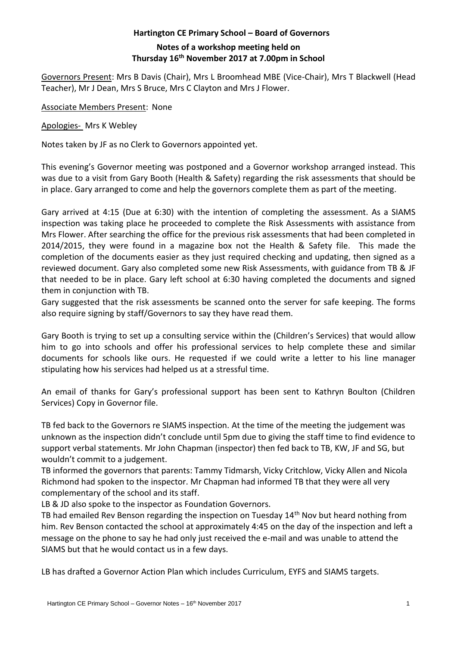## **Hartington CE Primary School – Board of Governors Notes of a workshop meeting held on Thursday 16th November 2017 at 7.00pm in School**

Governors Present: Mrs B Davis (Chair), Mrs L Broomhead MBE (Vice-Chair), Mrs T Blackwell (Head Teacher), Mr J Dean, Mrs S Bruce, Mrs C Clayton and Mrs J Flower.

Associate Members Present: None

Apologies- Mrs K Webley

Notes taken by JF as no Clerk to Governors appointed yet.

This evening's Governor meeting was postponed and a Governor workshop arranged instead. This was due to a visit from Gary Booth (Health & Safety) regarding the risk assessments that should be in place. Gary arranged to come and help the governors complete them as part of the meeting.

Gary arrived at 4:15 (Due at 6:30) with the intention of completing the assessment. As a SIAMS inspection was taking place he proceeded to complete the Risk Assessments with assistance from Mrs Flower. After searching the office for the previous risk assessments that had been completed in 2014/2015, they were found in a magazine box not the Health & Safety file. This made the completion of the documents easier as they just required checking and updating, then signed as a reviewed document. Gary also completed some new Risk Assessments, with guidance from TB & JF that needed to be in place. Gary left school at 6:30 having completed the documents and signed them in conjunction with TB.

Gary suggested that the risk assessments be scanned onto the server for safe keeping. The forms also require signing by staff/Governors to say they have read them.

Gary Booth is trying to set up a consulting service within the (Children's Services) that would allow him to go into schools and offer his professional services to help complete these and similar documents for schools like ours. He requested if we could write a letter to his line manager stipulating how his services had helped us at a stressful time.

An email of thanks for Gary's professional support has been sent to Kathryn Boulton (Children Services) Copy in Governor file.

TB fed back to the Governors re SIAMS inspection. At the time of the meeting the judgement was unknown as the inspection didn't conclude until 5pm due to giving the staff time to find evidence to support verbal statements. Mr John Chapman (inspector) then fed back to TB, KW, JF and SG, but wouldn't commit to a judgement.

TB informed the governors that parents: Tammy Tidmarsh, Vicky Critchlow, Vicky Allen and Nicola Richmond had spoken to the inspector. Mr Chapman had informed TB that they were all very complementary of the school and its staff.

LB & JD also spoke to the inspector as Foundation Governors.

TB had emailed Rev Benson regarding the inspection on Tuesday 14<sup>th</sup> Nov but heard nothing from him. Rev Benson contacted the school at approximately 4:45 on the day of the inspection and left a message on the phone to say he had only just received the e-mail and was unable to attend the SIAMS but that he would contact us in a few days.

LB has drafted a Governor Action Plan which includes Curriculum, EYFS and SIAMS targets.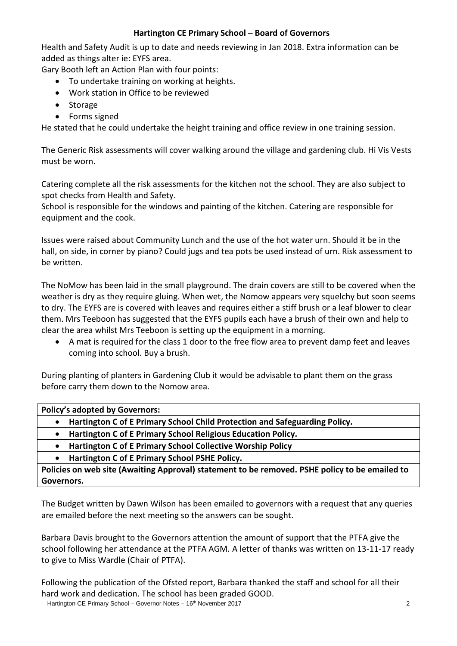## **Hartington CE Primary School – Board of Governors**

Health and Safety Audit is up to date and needs reviewing in Jan 2018. Extra information can be added as things alter ie: EYFS area.

Gary Booth left an Action Plan with four points:

- To undertake training on working at heights.
- Work station in Office to be reviewed
- Storage
- Forms signed

He stated that he could undertake the height training and office review in one training session.

The Generic Risk assessments will cover walking around the village and gardening club. Hi Vis Vests must be worn.

Catering complete all the risk assessments for the kitchen not the school. They are also subject to spot checks from Health and Safety.

School is responsible for the windows and painting of the kitchen. Catering are responsible for equipment and the cook.

Issues were raised about Community Lunch and the use of the hot water urn. Should it be in the hall, on side, in corner by piano? Could jugs and tea pots be used instead of urn. Risk assessment to be written.

The NoMow has been laid in the small playground. The drain covers are still to be covered when the weather is dry as they require gluing. When wet, the Nomow appears very squelchy but soon seems to dry. The EYFS are is covered with leaves and requires either a stiff brush or a leaf blower to clear them. Mrs Teeboon has suggested that the EYFS pupils each have a brush of their own and help to clear the area whilst Mrs Teeboon is setting up the equipment in a morning.

 A mat is required for the class 1 door to the free flow area to prevent damp feet and leaves coming into school. Buy a brush.

During planting of planters in Gardening Club it would be advisable to plant them on the grass before carry them down to the Nomow area.

**Policy's adopted by Governors:**

- **Hartington C of E Primary School Child Protection and Safeguarding Policy.**
- **Hartington C of E Primary School Religious Education Policy.**
- **Hartington C of E Primary School Collective Worship Policy**

**Hartington C of E Primary School PSHE Policy.**

**Policies on web site (Awaiting Approval) statement to be removed. PSHE policy to be emailed to Governors.**

The Budget written by Dawn Wilson has been emailed to governors with a request that any queries are emailed before the next meeting so the answers can be sought.

Barbara Davis brought to the Governors attention the amount of support that the PTFA give the school following her attendance at the PTFA AGM. A letter of thanks was written on 13-11-17 ready to give to Miss Wardle (Chair of PTFA).

Following the publication of the Ofsted report, Barbara thanked the staff and school for all their hard work and dedication. The school has been graded GOOD.

Hartington CE Primary School – Governor Notes – 16<sup>th</sup> November 2017 **2** 2